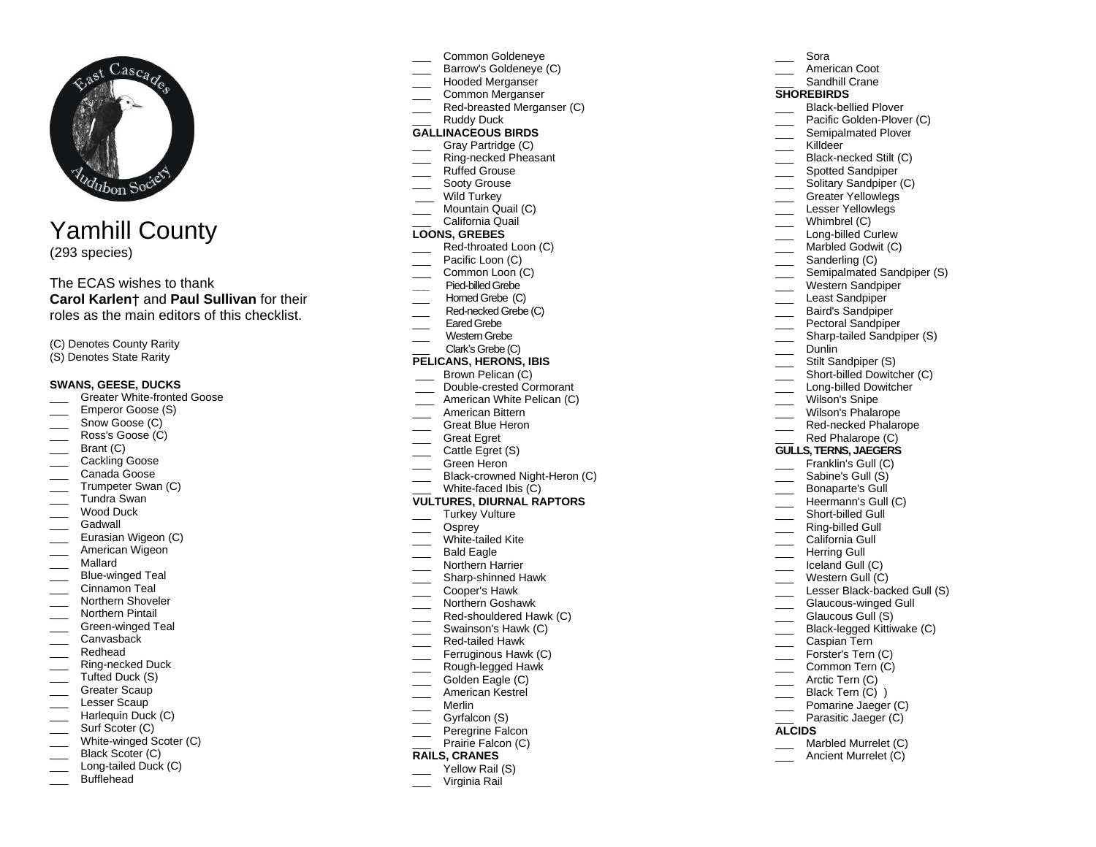

# Yamhill County

(293 species)

## The ECAS wishes to thank **Carol Karlen**† and **Paul Sullivan** for their roles as the main editors of this checklist.

(C) Denotes County Rarity (S) Denotes State Rarity

#### **SWANS, GEESE, DUCKS**

- Greater White-fronted Goose
- Emperor Goose (S)
- Snow Goose (C)
- Ross's Goose (C)
- Brant (C)
- Cackling Goose
- \_\_\_ Canada Goose
- Trumpeter Swan (C)
- \_\_\_ Tundra Swan
- Wood Duck
- Gadwall
- Eurasian Wigeon (C)
- American Wigeon
- \_\_\_ Mallard
- \_\_\_ Blue-winged Teal
- Cinnamon Teal
- **Northern Shoveler**
- Northern Pintail
- Green-winged Teal
- Canvasback
- \_\_\_ Redhead
- \_\_\_ Ring-necked Duck \_\_\_ Tufted Duck (S)
- Greater Scaup
- Lesser Scaup
- \_\_\_ Harlequin Duck (C)
- Surf Scoter (C)
- White-winged Scoter (C)
- Black Scoter (C)
- \_\_\_ Long-tailed Duck (C)
- Bufflehead
- \_\_\_ Common Goldeneye
- Barrow's Goldeneye (C)
- \_\_\_ Hooded Merganser
- Common Merganser
- Red-breasted Merganser (C) Ruddy Duck

## **GALLINACEOUS BIRDS**

- Gray Partridge (C)
- Ring-necked Pheasant
- Ruffed Grouse
- Sooty Grouse
- Wild Turkey
- **Mountain Quail (C)**
- \_\_\_ California Quail

## **LOONS, GREBES**

- Red-throated Loon (C)
- Pacific Loon (C)
- Common Loon (C)
- **\_\_\_** Pied-billed Grebe
- Homed Grebe (C)
- Red-necked Grebe (C)
- Eared Grebe
- Western Grebe
- Clark's Grebe (C)

## **PELICANS, HERONS, IBIS**

- Brown Pelican (C) \_\_\_ Double-crested Cormorant
- American White Pelican (C)
- \_\_\_ American Bittern
- Great Blue Heron
- Great Egret
- Cattle Egret (S)
- \_\_\_ Green Heron
- \_\_\_ Black-crowned Night-Heron (C)
- White-faced Ibis (C)

#### **VULTURES, DIURNAL RAPTORS**

- Turkey Vulture
- \_\_\_ Osprey
- White-tailed Kite
- Bald Eagle
- Northern Harrier
- \_\_\_ Sharp-shinned Hawk
- \_\_\_ Cooper's Hawk
- \_\_\_ Northern Goshawk
- Red-shouldered Hawk (C)
- Swainson's Hawk (C)
- \_\_\_ Red-tailed Hawk
- \_\_\_ Ferruginous Hawk (C)
- Rough-legged Hawk
- Golden Eagle (C)
- \_\_\_ American Kestrel
- \_\_\_ Merlin
- Gyrfalcon (S) Peregrine Falcon
- Prairie Falcon (C)

## **RAILS, CRANES**

- Yellow Rail (S)
- Virginia Rail
- \_\_\_ Sora
- American Coot
- Sandhill Crane

## **SHOREBIRDS**

- Black-bellied Plover
- Pacific Golden-Plover (C)

Solitary Sandpiper (C) Greater Yellowlegs Lesser Yellowlegs Whimbrel (C) Long-billed Curlew Marbled Godwit (C)

Semipalmated Sandpiper (S) Western Sandpiper Least Sandpiper **Example 3** Baird's Sandpiper Pectoral Sandpiper Sharp-tailed Sandpiper (S)

> Lesser Black-backed Gull (S) Glaucous-winged Gull Glaucous Gull (S) Black-legged Kittiwake (C)

Caspian Tern \_\_\_ Forster's Tern (C) Common Tern (C)

> Marbled Murrelet (C) Ancient Murrelet (C)

\_\_\_\_ Arctic Tern (C) \_\_\_ Black Tern (C) ) \_\_\_ Pomarine Jaeger (C) Parasitic Jaeger (C)

**ALCIDS**

- Semipalmated Plover
- \_\_\_ Killdeer

\_\_\_\_ Sanderling (C)

Dunlin

Stilt Sandpiper (S) Short-billed Dowitcher (C) Long-billed Dowitcher Wilson's Snipe Wilson's Phalarope \_\_\_\_ Red-necked Phalarope Red Phalarope (C) **GULLS, TERNS, JAEGERS** Franklin's Gull (C) Sabine's Gull (S) Bonaparte's Gull Heermann's Gull (C) Short-billed Gull \_\_\_ Ring-billed Gull California Gull \_\_\_ Herring Gull Iceland Gull (C) Western Gull (C)

Black-necked Stilt (C) Spotted Sandpiper